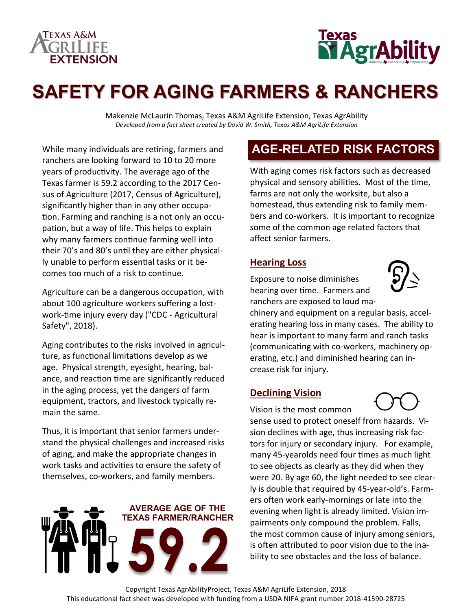



# **SAFETY FOR AGING FARMERS & RANCHERS**

Makenzie McLaurin Thomas, Texas A&M AgriLife Extension, Texas AgrAbility *Developed from a fact sheet created by David W. Smith, Texas A&M AgriLife Extension*

While many individuals are retiring, farmers and ranchers are looking forward to 10 to 20 more years of productivity. The average ago of the Texas farmer is 59.2 according to the 2017 Census of Agriculture (2017, Census of Agriculture), significantly higher than in any other occupation. Farming and ranching is a not only an occupation, but a way of life. This helps to explain why many farmers continue farming well into their 70's and 80's until they are either physically unable to perform essential tasks or it becomes too much of a risk to continue.

Agriculture can be a dangerous occupation, with about 100 agriculture workers suffering a lostwork-time injury every day ("CDC - Agricultural Safety", 2018).

Aging contributes to the risks involved in agriculture, as functional limitations develop as we age. Physical strength, eyesight, hearing, balance, and reaction time are significantly reduced in the aging process, yet the dangers of farm equipment, tractors, and livestock typically remain the same.

Thus, it is important that senior farmers understand the physical challenges and increased risks of aging, and make the appropriate changes in work tasks and activities to ensure the safety of themselves, co-workers, and family members.



## **AGE-RELATED RISK FACTORS**

With aging comes risk factors such as decreased physical and sensory abilities. Most of the time, farms are not only the worksite, but also a homestead, thus extending risk to family members and co-workers. It is important to recognize some of the common age related factors that affect senior farmers.

#### **Hearing Loss**

Exposure to noise diminishes hearing over time. Farmers and ranchers are exposed to loud ma-



chinery and equipment on a regular basis, accelerating hearing loss in many cases. The ability to hear is important to many farm and ranch tasks (communicating with co-workers, machinery operating, etc.) and diminished hearing can increase risk for injury.

#### **Declining Vision**

Vision is the most common sense used to protect oneself from hazards. Vision declines with age, thus increasing risk factors for injury or secondary injury. For example, many 45-yearolds need four times as much light to see objects as clearly as they did when they were 20. By age 60, the light needed to see clearly is double that required by 45-year-old's. Farmers often work early-mornings or late into the evening when light is already limited. Vision impairments only compound the problem. Falls, the most common cause of injury among seniors, is often attributed to poor vision due to the inability to see obstacles and the loss of balance.

Copyright Texas AgrAbilityProject, Texas A&M AgriLife Extension, 2018 This educational fact sheet was developed with funding from a USDA NIFA grant number 2018-41590-28725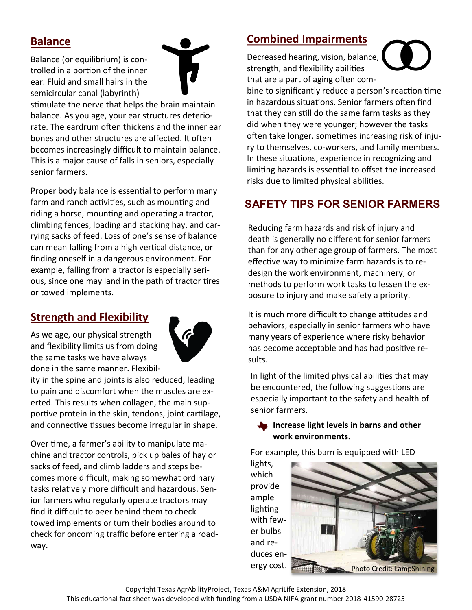### **Balance**

Balance (or equilibrium) is controlled in a portion of the inner ear. Fluid and small hairs in the semicircular canal (labyrinth)



stimulate the nerve that helps the brain maintain balance. As you age, your ear structures deteriorate. The eardrum often thickens and the inner ear bones and other structures are affected. It often becomes increasingly difficult to maintain balance. This is a major cause of falls in seniors, especially senior farmers.

Proper body balance is essential to perform many farm and ranch activities, such as mounting and riding a horse, mounting and operating a tractor, climbing fences, loading and stacking hay, and carrying sacks of feed. Loss of one's sense of balance can mean falling from a high vertical distance, or finding oneself in a dangerous environment. For example, falling from a tractor is especially serious, since one may land in the path of tractor tires or towed implements.

#### **Strength and Flexibility**

As we age, our physical strength and flexibility limits us from doing the same tasks we have always done in the same manner. Flexibil-



ity in the spine and joints is also reduced, leading to pain and discomfort when the muscles are exerted. This results when collagen, the main supportive protein in the skin, tendons, joint cartilage, and connective tissues become irregular in shape.

Over time, a farmer's ability to manipulate machine and tractor controls, pick up bales of hay or sacks of feed, and climb ladders and steps becomes more difficult, making somewhat ordinary tasks relatively more difficult and hazardous. Senior farmers who regularly operate tractors may find it difficult to peer behind them to check towed implements or turn their bodies around to check for oncoming traffic before entering a roadway.

#### **Combined Impairments**

Decreased hearing, vision, balance, strength, and flexibility abilities that are a part of aging often com-



bine to significantly reduce a person's reaction time in hazardous situations. Senior farmers often find that they can still do the same farm tasks as they did when they were younger; however the tasks often take longer, sometimes increasing risk of injury to themselves, co-workers, and family members. In these situations, experience in recognizing and limiting hazards is essential to offset the increased risks due to limited physical abilities.

### **SAFETY TIPS FOR SENIOR FARMERS**

Reducing farm hazards and risk of injury and death is generally no different for senior farmers than for any other age group of farmers. The most effective way to minimize farm hazards is to redesign the work environment, machinery, or methods to perform work tasks to lessen the exposure to injury and make safety a priority.

It is much more difficult to change attitudes and behaviors, especially in senior farmers who have many years of experience where risky behavior has become acceptable and has had positive results.

In light of the limited physical abilities that may be encountered, the following suggestions are especially important to the safety and health of senior farmers.

#### **Increase light levels in barns and other work environments.**

For example, this barn is equipped with LED

lights, which provide ample lighting with fewer bulbs and reduces en-

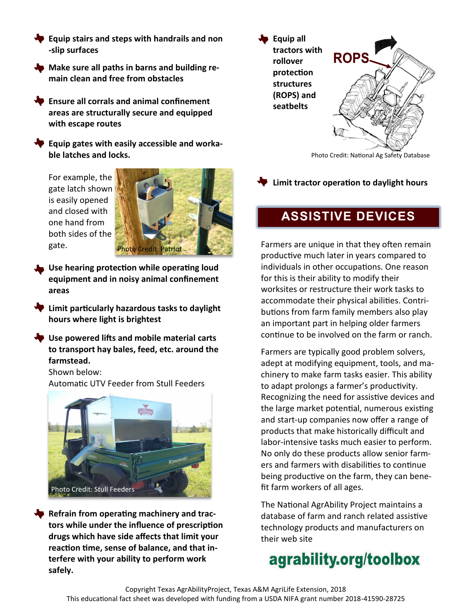- **Equip stairs and steps with handrails and non -slip surfaces**
- **Make sure all paths in barns and building remain clean and free from obstacles**
- **Ensure all corrals and animal confinement areas are structurally secure and equipped with escape routes**
- **Equip gates with easily accessible and workable latches and locks.**

For example, the gate latch shown is easily opened and closed with one hand from both sides of the gate.



- **Use hearing protection while operating loud equipment and in noisy animal confinement areas**
- **Limit particularly hazardous tasks to daylight hours where light is brightest**
- **Use powered lifts and mobile material carts to transport hay bales, feed, etc. around the farmstead.**

Shown below:

Automatic UTV Feeder from Stull Feeders



**Refrain from operating machinery and tractors while under the influence of prescription drugs which have side affects that limit your reaction time, sense of balance, and that interfere with your ability to perform work safely.** 



Photo Credit: National Ag Safety Database

**Limit tractor operation to daylight hours**

## **ASSISTIVE DEVICES**

Farmers are unique in that they often remain productive much later in years compared to individuals in other occupations. One reason for this is their ability to modify their worksites or restructure their work tasks to accommodate their physical abilities. Contributions from farm family members also play an important part in helping older farmers continue to be involved on the farm or ranch.

Farmers are typically good problem solvers, adept at modifying equipment, tools, and machinery to make farm tasks easier. This ability to adapt prolongs a farmer's productivity. Recognizing the need for assistive devices and the large market potential, numerous existing and start-up companies now offer a range of products that make historically difficult and labor-intensive tasks much easier to perform. No only do these products allow senior farmers and farmers with disabilities to continue being productive on the farm, they can benefit farm workers of all ages.

The National AgrAbility Project maintains a database of farm and ranch related assistive technology products and manufacturers on their web site

# agrability.org/toolbox